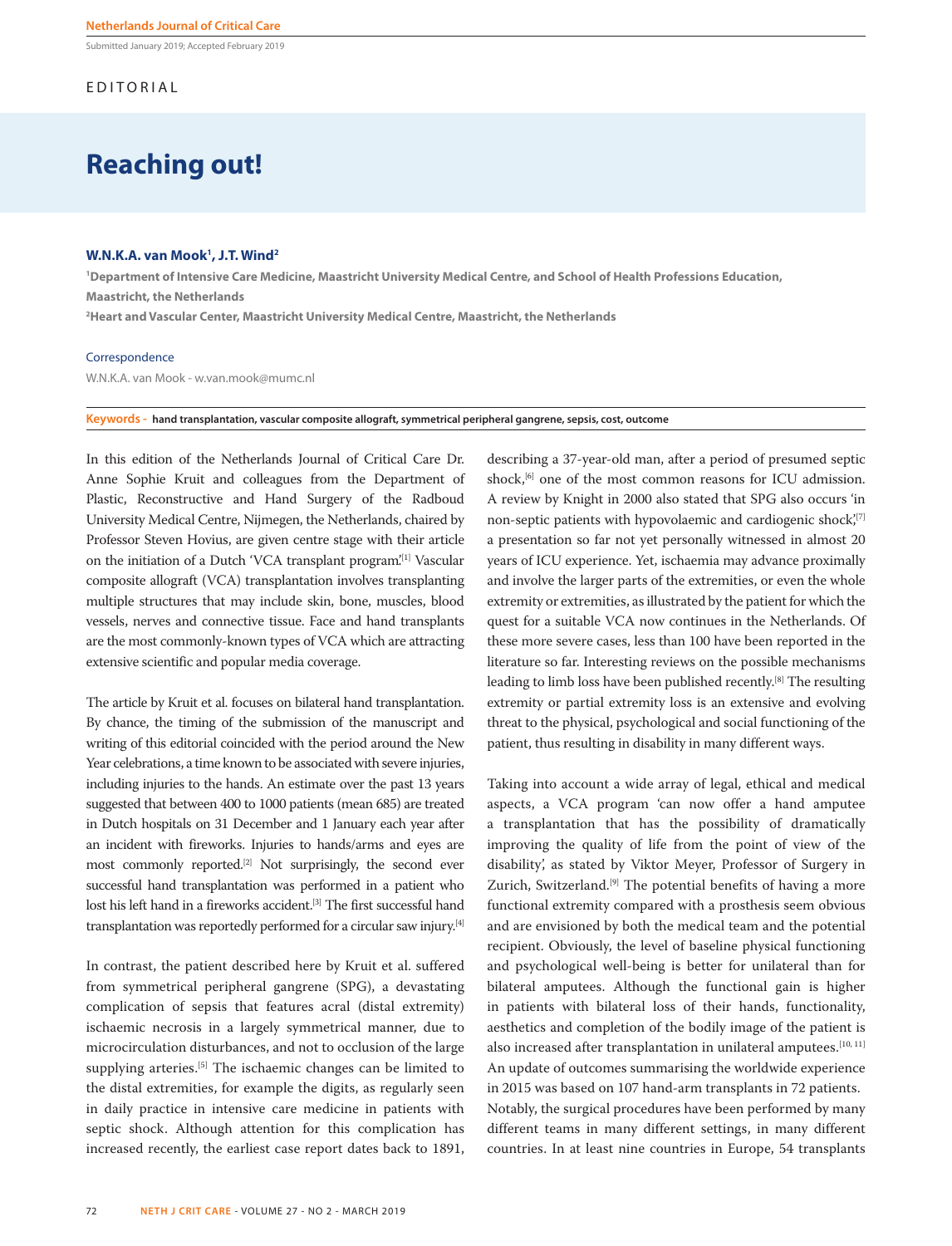Submitted January 2019; Accepted February 2019

# EDITORIAL

# **Reaching out!**

## **W.N.K.A. van Mook1 , J.T. Wind2**

**1 Department of Intensive Care Medicine, Maastricht University Medical Centre, and School of Health Professions Education, Maastricht, the Netherlands** 

**2 Heart and Vascular Center, Maastricht University Medical Centre, Maastricht, the Netherlands**

#### Correspondence

W.N.K.A. van Mook - w.van.mook@mumc.nl

**Keywords - hand transplantation, vascular composite allograft, symmetrical peripheral gangrene, sepsis, cost, outcome** 

In this edition of the Netherlands Journal of Critical Care Dr. Anne Sophie Kruit and colleagues from the Department of Plastic, Reconstructive and Hand Surgery of the Radboud University Medical Centre, Nijmegen, the Netherlands, chaired by Professor Steven Hovius, are given centre stage with their article on the initiation of a Dutch 'VCA transplant program'.[1] Vascular composite allograft (VCA) transplantation involves transplanting multiple structures that may include skin, bone, muscles, blood vessels, nerves and connective tissue. Face and hand transplants are the most commonly-known types of VCA which are attracting extensive scientific and popular media coverage.

The article by Kruit et al. focuses on bilateral hand transplantation. By chance, the timing of the submission of the manuscript and writing of this editorial coincided with the period around the New Year celebrations, a time known to be associated with severe injuries, including injuries to the hands. An estimate over the past 13 years suggested that between 400 to 1000 patients (mean 685) are treated in Dutch hospitals on 31 December and 1 January each year after an incident with fireworks. Injuries to hands/arms and eyes are most commonly reported.[2] Not surprisingly, the second ever successful hand transplantation was performed in a patient who lost his left hand in a fireworks accident.<sup>[3]</sup> The first successful hand transplantation was reportedly performed for a circular saw injury.[4]

In contrast, the patient described here by Kruit et al. suffered from symmetrical peripheral gangrene (SPG), a devastating complication of sepsis that features acral (distal extremity) ischaemic necrosis in a largely symmetrical manner, due to microcirculation disturbances, and not to occlusion of the large supplying arteries.<sup>[5]</sup> The ischaemic changes can be limited to the distal extremities, for example the digits, as regularly seen in daily practice in intensive care medicine in patients with septic shock. Although attention for this complication has increased recently, the earliest case report dates back to 1891,

describing a 37-year-old man, after a period of presumed septic shock,<sup>[6]</sup> one of the most common reasons for ICU admission. A review by Knight in 2000 also stated that SPG also occurs 'in non-septic patients with hypovolaemic and cardiogenic shock'<sup>[7]</sup> a presentation so far not yet personally witnessed in almost 20 years of ICU experience. Yet, ischaemia may advance proximally and involve the larger parts of the extremities, or even the whole extremity or extremities, as illustrated by the patient for which the quest for a suitable VCA now continues in the Netherlands. Of these more severe cases, less than 100 have been reported in the literature so far. Interesting reviews on the possible mechanisms leading to limb loss have been published recently.[8] The resulting extremity or partial extremity loss is an extensive and evolving threat to the physical, psychological and social functioning of the patient, thus resulting in disability in many different ways.

Taking into account a wide array of legal, ethical and medical aspects, a VCA program 'can now offer a hand amputee a transplantation that has the possibility of dramatically improving the quality of life from the point of view of the disability', as stated by Viktor Meyer, Professor of Surgery in Zurich, Switzerland.<sup>[9]</sup> The potential benefits of having a more functional extremity compared with a prosthesis seem obvious and are envisioned by both the medical team and the potential recipient. Obviously, the level of baseline physical functioning and psychological well-being is better for unilateral than for bilateral amputees. Although the functional gain is higher in patients with bilateral loss of their hands, functionality, aesthetics and completion of the bodily image of the patient is also increased after transplantation in unilateral amputees.<sup>[10, 11]</sup> An update of outcomes summarising the worldwide experience in 2015 was based on 107 hand-arm transplants in 72 patients. Notably, the surgical procedures have been performed by many different teams in many different settings, in many different countries. In at least nine countries in Europe, 54 transplants